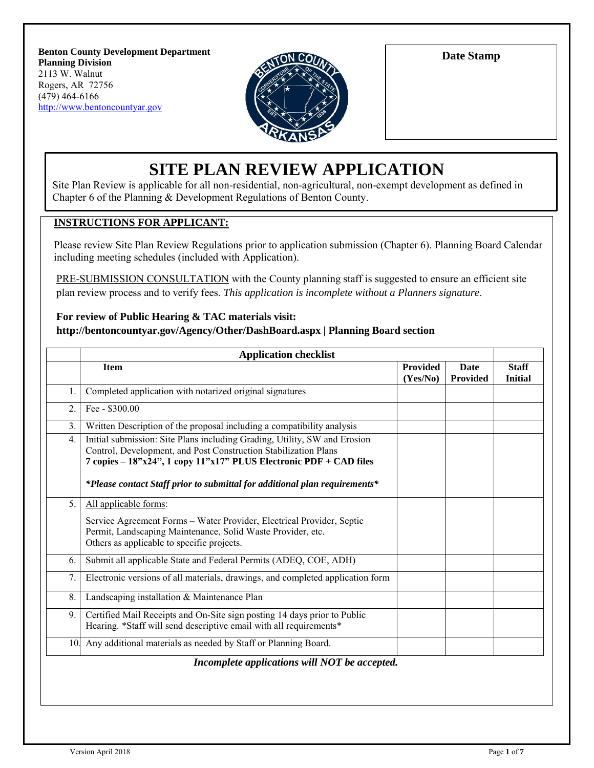**Benton County Development Department Planning Division** 2113 W. Walnut Rogers, AR 72756 (479) 464-6166 [http://www.bentoncountyar.gov](http://www.bentoncountyar.gov/)



**Date Stamp**

# **SITE PLAN REVIEW APPLICATION**

Site Plan Review is applicable for all non-residential, non-agricultural, non-exempt development as defined in Chapter 6 of the Planning & Development Regulations of Benton County.

#### **INSTRUCTIONS FOR APPLICANT:**

Please review Site Plan Review Regulations prior to application submission (Chapter 6). Planning Board Calendar including meeting schedules (included with Application).

PRE-SUBMISSION CONSULTATION with the County planning staff is suggested to ensure an efficient site plan review process and to verify fees. *This application is incomplete without a Planners signature*.

#### **For review of Public Hearing & TAC materials visit: http://bentoncountyar.gov/Agency/Other/DashBoard.aspx | Planning Board section**

| <b>Application checklist</b> |                                                                                                                                                                                                                                                                                                  |                             |                         |                                |
|------------------------------|--------------------------------------------------------------------------------------------------------------------------------------------------------------------------------------------------------------------------------------------------------------------------------------------------|-----------------------------|-------------------------|--------------------------------|
|                              | <b>Item</b>                                                                                                                                                                                                                                                                                      | <b>Provided</b><br>(Yes/No) | <b>Date</b><br>Provided | <b>Staff</b><br><b>Initial</b> |
| 1.                           | Completed application with notarized original signatures                                                                                                                                                                                                                                         |                             |                         |                                |
| 2.                           | Fee - \$300.00                                                                                                                                                                                                                                                                                   |                             |                         |                                |
| 3.                           | Written Description of the proposal including a compatibility analysis                                                                                                                                                                                                                           |                             |                         |                                |
| 4.                           | Initial submission: Site Plans including Grading, Utility, SW and Erosion<br>Control, Development, and Post Construction Stabilization Plans<br>7 copies – 18"x24", 1 copy 11"x17" PLUS Electronic PDF + CAD files<br>*Please contact Staff prior to submittal for additional plan requirements* |                             |                         |                                |
| 5.                           | All applicable forms:                                                                                                                                                                                                                                                                            |                             |                         |                                |
|                              | Service Agreement Forms - Water Provider, Electrical Provider, Septic<br>Permit, Landscaping Maintenance, Solid Waste Provider, etc.<br>Others as applicable to specific projects.                                                                                                               |                             |                         |                                |
| 6.                           | Submit all applicable State and Federal Permits (ADEQ, COE, ADH)                                                                                                                                                                                                                                 |                             |                         |                                |
| 7.                           | Electronic versions of all materials, drawings, and completed application form                                                                                                                                                                                                                   |                             |                         |                                |
| 8.                           | Landscaping installation & Maintenance Plan                                                                                                                                                                                                                                                      |                             |                         |                                |
| 9.                           | Certified Mail Receipts and On-Site sign posting 14 days prior to Public<br>Hearing. *Staff will send descriptive email with all requirements*                                                                                                                                                   |                             |                         |                                |
|                              | 10 Any additional materials as needed by Staff or Planning Board.                                                                                                                                                                                                                                |                             |                         |                                |
|                              | Incomplete applications will NOT be accepted.                                                                                                                                                                                                                                                    |                             |                         |                                |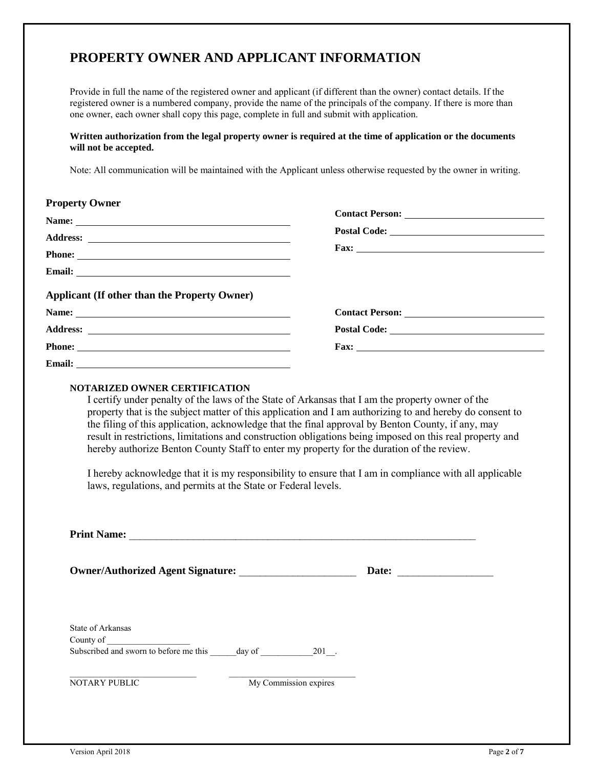# **PROPERTY OWNER AND APPLICANT INFORMATION**

Provide in full the name of the registered owner and applicant (if different than the owner) contact details. If the registered owner is a numbered company, provide the name of the principals of the company. If there is more than one owner, each owner shall copy this page, complete in full and submit with application.

#### **Written authorization from the legal property owner is required at the time of application or the documents will not be accepted.**

Note: All communication will be maintained with the Applicant unless otherwise requested by the owner in writing.

| <b>Property Owner</b>                               |                      |  |
|-----------------------------------------------------|----------------------|--|
| Name:                                               |                      |  |
|                                                     |                      |  |
|                                                     |                      |  |
|                                                     |                      |  |
| <b>Applicant (If other than the Property Owner)</b> |                      |  |
| Name:                                               |                      |  |
|                                                     |                      |  |
| Phone:                                              | Fax: $\qquad \qquad$ |  |
|                                                     |                      |  |

#### **NOTARIZED OWNER CERTIFICATION**

I certify under penalty of the laws of the State of Arkansas that I am the property owner of the property that is the subject matter of this application and I am authorizing to and hereby do consent to the filing of this application, acknowledge that the final approval by Benton County, if any, may result in restrictions, limitations and construction obligations being imposed on this real property and hereby authorize Benton County Staff to enter my property for the duration of the review.

I hereby acknowledge that it is my responsibility to ensure that I am in compliance with all applicable laws, regulations, and permits at the State or Federal levels.

| <b>Print Name:</b>                                                                   |                       |       |
|--------------------------------------------------------------------------------------|-----------------------|-------|
| <b>Owner/Authorized Agent Signature:</b>                                             |                       | Date: |
| State of Arkansas<br>County of<br>Subscribed and sworn to before me this day of 201. |                       |       |
| <b>NOTARY PUBLIC</b>                                                                 | My Commission expires |       |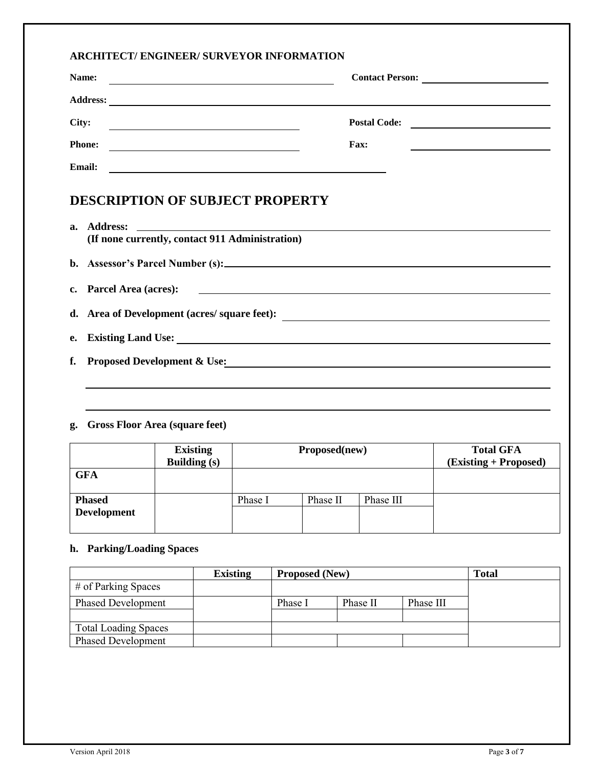#### **ARCHITECT/ ENGINEER/ SURVEYOR INFORMATION**

| Name:           | <b>Contact Person:</b> | <u> 1980 - Jan Samuel Barbara, politik a postaj de la provincia de la provincia de la provincia de la provincia d</u> |
|-----------------|------------------------|-----------------------------------------------------------------------------------------------------------------------|
| <b>Address:</b> |                        |                                                                                                                       |
| City:           | <b>Postal Code:</b>    |                                                                                                                       |
| <b>Phone:</b>   | Fax:                   |                                                                                                                       |
| <b>Email:</b>   |                        |                                                                                                                       |

## **DESCRIPTION OF SUBJECT PROPERTY**

| (If none currently, contact 911 Administration)                                                                |
|----------------------------------------------------------------------------------------------------------------|
|                                                                                                                |
| c. Parcel Area (acres): 2008. 2009. 2012. 2013. 2014. 2015. 2016. 2017. 2018. 2019. 2016. 2017. 2018. 2019. 20 |
| d. Area of Development (acres/ square feet):                                                                   |
|                                                                                                                |
| f. Proposed Development & Use:                                                                                 |
|                                                                                                                |
|                                                                                                                |

### **g. Gross Floor Area (square feet)**

|                                     | <b>Existing</b><br><b>Building (s)</b> | Proposed(new) |          | <b>Total GFA</b><br>(Existing + Proposed) |  |
|-------------------------------------|----------------------------------------|---------------|----------|-------------------------------------------|--|
| <b>GFA</b>                          |                                        |               |          |                                           |  |
| <b>Phased</b><br><b>Development</b> |                                        | Phase I       | Phase II | Phase III                                 |  |

#### **h. Parking/Loading Spaces**

|                             | <b>Existing</b> |         | <b>Proposed (New)</b> |           | <b>Total</b> |
|-----------------------------|-----------------|---------|-----------------------|-----------|--------------|
| # of Parking Spaces         |                 |         |                       |           |              |
| <b>Phased Development</b>   |                 | Phase I | Phase II              | Phase III |              |
| <b>Total Loading Spaces</b> |                 |         |                       |           |              |
| <b>Phased Development</b>   |                 |         |                       |           |              |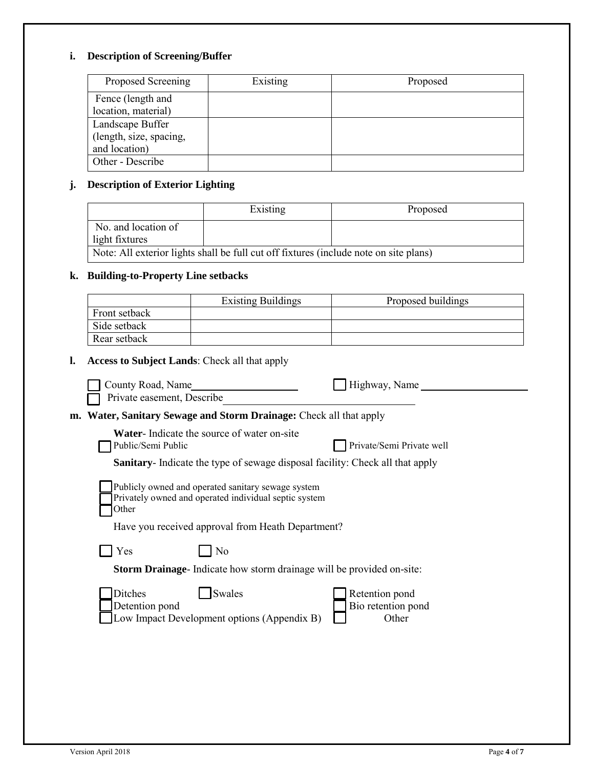## **i. Description of Screening/Buffer**

| Proposed Screening      | Existing | Proposed |
|-------------------------|----------|----------|
| Fence (length and       |          |          |
| location, material)     |          |          |
| Landscape Buffer        |          |          |
| (length, size, spacing, |          |          |
| and location)           |          |          |
| Other - Describe        |          |          |

### **j. Description of Exterior Lighting**

|                                                                                       | Existing | Proposed |
|---------------------------------------------------------------------------------------|----------|----------|
| No. and location of<br>light fixtures                                                 |          |          |
| Note: All exterior lights shall be full cut off fixtures (include note on site plans) |          |          |

### **k. Building-to-Property Line setbacks**

|                                                      | <b>Existing Buildings</b>                                                                                                                                        | Proposed buildings                            |
|------------------------------------------------------|------------------------------------------------------------------------------------------------------------------------------------------------------------------|-----------------------------------------------|
| Front setback                                        |                                                                                                                                                                  |                                               |
| Side setback                                         |                                                                                                                                                                  |                                               |
| Rear setback                                         |                                                                                                                                                                  |                                               |
| <b>Access to Subject Lands: Check all that apply</b> |                                                                                                                                                                  |                                               |
| County Road, Name<br>Private easement, Describe      |                                                                                                                                                                  | Highway, Name                                 |
|                                                      | m. Water, Sanitary Sewage and Storm Drainage: Check all that apply                                                                                               |                                               |
| Public/Semi Public                                   | Water-Indicate the source of water on-site                                                                                                                       | Private/Semi Private well                     |
|                                                      | Sanitary- Indicate the type of sewage disposal facility: Check all that apply                                                                                    |                                               |
| Other                                                | Publicly owned and operated sanitary sewage system<br>Privately owned and operated individual septic system<br>Have you received approval from Heath Department? |                                               |
| Yes                                                  | No                                                                                                                                                               |                                               |
|                                                      | Storm Drainage- Indicate how storm drainage will be provided on-site:                                                                                            |                                               |
| <b>Ditches</b><br>Detention pond                     | Swales<br>Low Impact Development options (Appendix B)                                                                                                            | Retention pond<br>Bio retention pond<br>Other |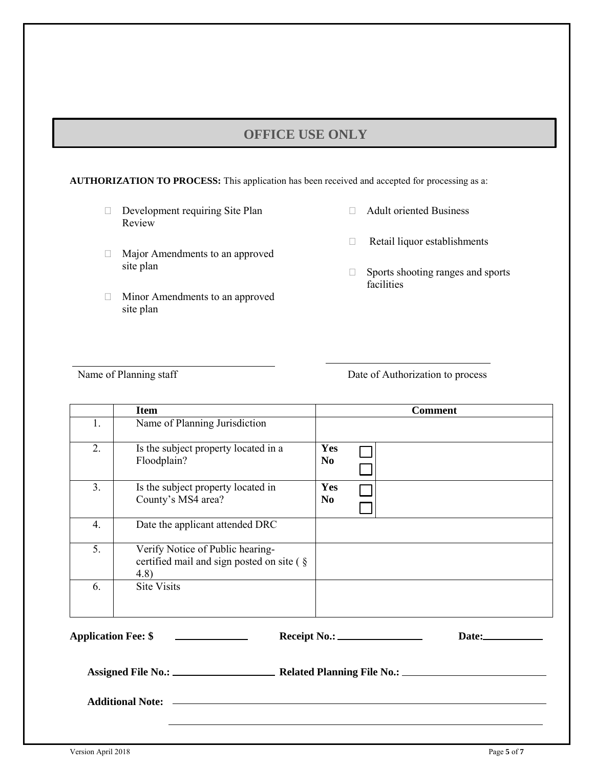## **OFFICE USE ONLY**

**AUTHORIZATION TO PROCESS:** This application has been received and accepted for processing as a:

- Development requiring Site Plan Review
- Major Amendments to an approved site plan
- Minor Amendments to an approved site plan
- Adult oriented Business
- Retail liquor establishments
- □ Sports shooting ranges and sports facilities

Name of Planning staff Date of Authorization to process

|                            | <b>Item</b>                                                                           |                       | <b>Comment</b> |
|----------------------------|---------------------------------------------------------------------------------------|-----------------------|----------------|
| 1.                         | Name of Planning Jurisdiction                                                         |                       |                |
| 2.                         | Is the subject property located in a<br>Floodplain?                                   | Yes<br>N <sub>0</sub> |                |
| 3.                         | Is the subject property located in<br>County's MS4 area?                              | Yes<br>N <sub>0</sub> |                |
| 4.                         | Date the applicant attended DRC                                                       |                       |                |
| 5.                         | Verify Notice of Public hearing-<br>certified mail and sign posted on site (§<br>4.8) |                       |                |
| 6.                         | <b>Site Visits</b>                                                                    |                       |                |
| <b>Application Fee: \$</b> | Receipt No.: __                                                                       |                       | Date:          |

**Assigned File No.: Related Planning File No.:**

**Additional Note:**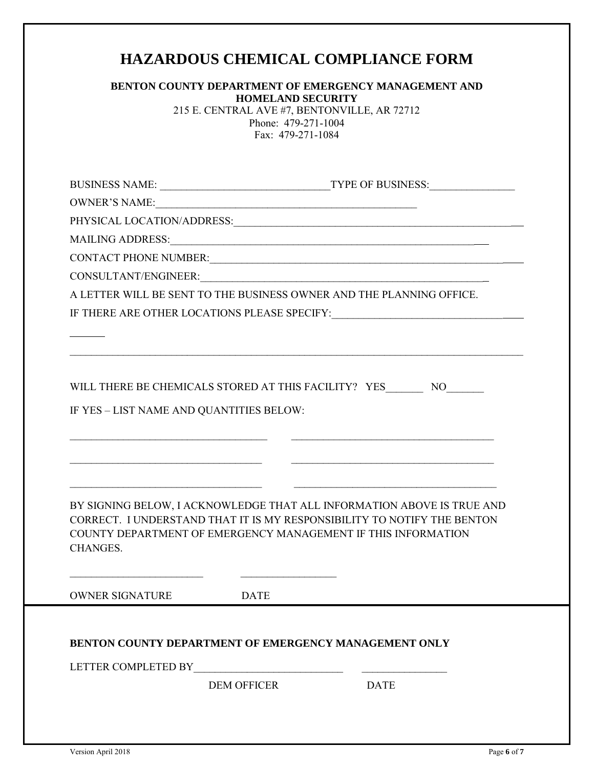# **HAZARDOUS CHEMICAL COMPLIANCE FORM**

| <b>BENTON COUNTY DEPARTMENT OF EMERGENCY MANAGEMENT AND</b> |
|-------------------------------------------------------------|
| <b>HOMELAND SECURITY</b>                                    |

215 E. CENTRAL AVE #7, BENTONVILLE, AR 72712 Phone: 479-271-1004 Fax: 479-271-1084

| CONTACT PHONE NUMBER: University of the contract of the contract of the contract of the contract of the contract of the contract of the contract of the contract of the contract of the contract of the contract of the contra |                    |             |
|--------------------------------------------------------------------------------------------------------------------------------------------------------------------------------------------------------------------------------|--------------------|-------------|
|                                                                                                                                                                                                                                |                    |             |
| A LETTER WILL BE SENT TO THE BUSINESS OWNER AND THE PLANNING OFFICE.                                                                                                                                                           |                    |             |
|                                                                                                                                                                                                                                |                    |             |
|                                                                                                                                                                                                                                |                    |             |
|                                                                                                                                                                                                                                |                    |             |
|                                                                                                                                                                                                                                |                    |             |
| WILL THERE BE CHEMICALS STORED AT THIS FACILITY? YES___________ NO_________                                                                                                                                                    |                    |             |
| IF YES - LIST NAME AND QUANTITIES BELOW:                                                                                                                                                                                       |                    |             |
|                                                                                                                                                                                                                                |                    |             |
|                                                                                                                                                                                                                                |                    |             |
|                                                                                                                                                                                                                                |                    |             |
|                                                                                                                                                                                                                                |                    |             |
| BY SIGNING BELOW, I ACKNOWLEDGE THAT ALL INFORMATION ABOVE IS TRUE AND                                                                                                                                                         |                    |             |
| CORRECT. I UNDERSTAND THAT IT IS MY RESPONSIBILITY TO NOTIFY THE BENTON                                                                                                                                                        |                    |             |
| COUNTY DEPARTMENT OF EMERGENCY MANAGEMENT IF THIS INFORMATION                                                                                                                                                                  |                    |             |
| <b>CHANGES.</b>                                                                                                                                                                                                                |                    |             |
|                                                                                                                                                                                                                                |                    |             |
| OWNER SIGNATURE                                                                                                                                                                                                                | <b>DATE</b>        |             |
|                                                                                                                                                                                                                                |                    |             |
|                                                                                                                                                                                                                                |                    |             |
| BENTON COUNTY DEPARTMENT OF EMERGENCY MANAGEMENT ONLY                                                                                                                                                                          |                    |             |
|                                                                                                                                                                                                                                |                    |             |
|                                                                                                                                                                                                                                | <b>DEM OFFICER</b> | <b>DATE</b> |
|                                                                                                                                                                                                                                |                    |             |